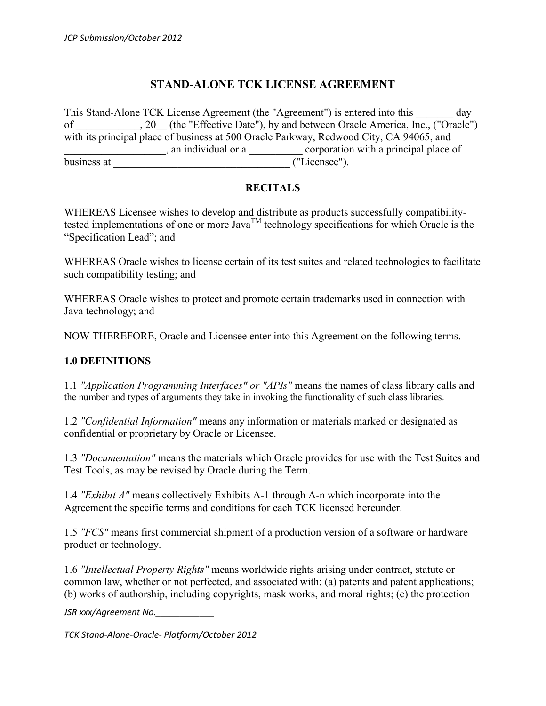## **STAND-ALONE TCK LICENSE AGREEMENT**

This Stand-Alone TCK License Agreement (the "Agreement") is entered into this day of \_\_\_\_\_\_\_\_\_, 20\_ (the "Effective Date"), by and between Oracle America, Inc., ("Oracle") with its principal place of business at 500 Oracle Parkway, Redwood City, CA 94065, and \_\_\_\_\_\_\_\_\_\_\_\_\_\_\_\_\_\_\_, an individual or a \_\_\_\_\_\_\_\_\_\_ corporation with a principal place of business at \_\_\_\_\_\_\_\_\_\_\_\_\_\_\_\_\_\_\_\_\_\_\_\_\_\_\_\_\_\_\_\_\_ ("Licensee").

#### **RECITALS**

WHEREAS Licensee wishes to develop and distribute as products successfully compatibilitytested implementations of one or more  $Java^{TM}$  technology specifications for which Oracle is the "Specification Lead"; and

WHEREAS Oracle wishes to license certain of its test suites and related technologies to facilitate such compatibility testing; and

WHEREAS Oracle wishes to protect and promote certain trademarks used in connection with Java technology; and

NOW THEREFORE, Oracle and Licensee enter into this Agreement on the following terms.

#### **1.0 DEFINITIONS**

1.1 *"Application Programming Interfaces" or "APIs"* means the names of class library calls and the number and types of arguments they take in invoking the functionality of such class libraries.

1.2 *"Confidential Information"* means any information or materials marked or designated as confidential or proprietary by Oracle or Licensee.

1.3 *"Documentation"* means the materials which Oracle provides for use with the Test Suites and Test Tools, as may be revised by Oracle during the Term.

1.4 *"Exhibit A"* means collectively Exhibits A-1 through A-n which incorporate into the Agreement the specific terms and conditions for each TCK licensed hereunder.

1.5 *"FCS"* means first commercial shipment of a production version of a software or hardware product or technology.

1.6 *"Intellectual Property Rights"* means worldwide rights arising under contract, statute or common law, whether or not perfected, and associated with: (a) patents and patent applications; (b) works of authorship, including copyrights, mask works, and moral rights; (c) the protection

*JSR xxx/Agreement No.\_\_\_\_\_\_\_\_\_\_\_\_*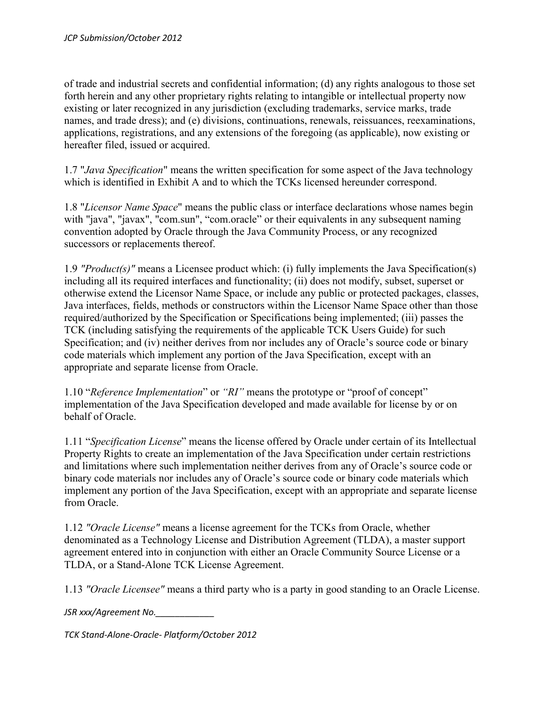of trade and industrial secrets and confidential information; (d) any rights analogous to those set forth herein and any other proprietary rights relating to intangible or intellectual property now existing or later recognized in any jurisdiction (excluding trademarks, service marks, trade names, and trade dress); and (e) divisions, continuations, renewals, reissuances, reexaminations, applications, registrations, and any extensions of the foregoing (as applicable), now existing or hereafter filed, issued or acquired.

1.7 "*Java Specification*" means the written specification for some aspect of the Java technology which is identified in Exhibit A and to which the TCKs licensed hereunder correspond.

1.8 "*Licensor Name Space*" means the public class or interface declarations whose names begin with "java", "javax", "com.sun", "com.oracle" or their equivalents in any subsequent naming convention adopted by Oracle through the Java Community Process, or any recognized successors or replacements thereof.

1.9 *"Product(s)"* means a Licensee product which: (i) fully implements the Java Specification(s) including all its required interfaces and functionality; (ii) does not modify, subset, superset or otherwise extend the Licensor Name Space, or include any public or protected packages, classes, Java interfaces, fields, methods or constructors within the Licensor Name Space other than those required/authorized by the Specification or Specifications being implemented; (iii) passes the TCK (including satisfying the requirements of the applicable TCK Users Guide) for such Specification; and (iv) neither derives from nor includes any of Oracle's source code or binary code materials which implement any portion of the Java Specification, except with an appropriate and separate license from Oracle.

1.10 "*Reference Implementation*" or *"RI"* means the prototype or "proof of concept" implementation of the Java Specification developed and made available for license by or on behalf of Oracle.

1.11 "*Specification License*" means the license offered by Oracle under certain of its Intellectual Property Rights to create an implementation of the Java Specification under certain restrictions and limitations where such implementation neither derives from any of Oracle's source code or binary code materials nor includes any of Oracle's source code or binary code materials which implement any portion of the Java Specification, except with an appropriate and separate license from Oracle.

1.12 *"Oracle License"* means a license agreement for the TCKs from Oracle, whether denominated as a Technology License and Distribution Agreement (TLDA), a master support agreement entered into in conjunction with either an Oracle Community Source License or a TLDA, or a Stand-Alone TCK License Agreement.

1.13 *"Oracle Licensee"* means a third party who is a party in good standing to an Oracle License.

*JSR xxx/Agreement No.\_\_\_\_\_\_\_\_\_\_\_\_*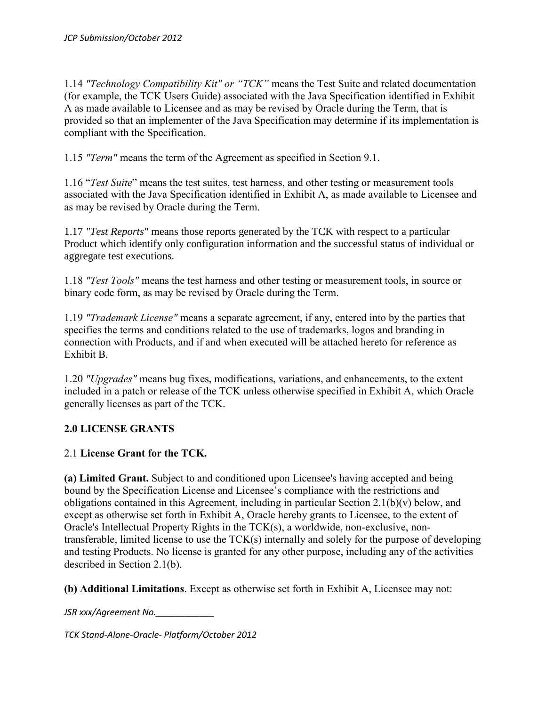1.14 *"Technology Compatibility Kit" or "TCK"* means the Test Suite and related documentation (for example, the TCK Users Guide) associated with the Java Specification identified in Exhibit A as made available to Licensee and as may be revised by Oracle during the Term, that is provided so that an implementer of the Java Specification may determine if its implementation is compliant with the Specification.

1.15 *"Term"* means the term of the Agreement as specified in Section 9.1.

1.16 "*Test Suite*" means the test suites, test harness, and other testing or measurement tools associated with the Java Specification identified in Exhibit A, as made available to Licensee and as may be revised by Oracle during the Term.

1.17 *"Test Reports"* means those reports generated by the TCK with respect to a particular Product which identify only configuration information and the successful status of individual or aggregate test executions.

1.18 *"Test Tools"* means the test harness and other testing or measurement tools, in source or binary code form, as may be revised by Oracle during the Term.

1.19 *"Trademark License"* means a separate agreement, if any, entered into by the parties that specifies the terms and conditions related to the use of trademarks, logos and branding in connection with Products, and if and when executed will be attached hereto for reference as Exhibit B.

1.20 *"Upgrades"* means bug fixes, modifications, variations, and enhancements, to the extent included in a patch or release of the TCK unless otherwise specified in Exhibit A, which Oracle generally licenses as part of the TCK.

## **2.0 LICENSE GRANTS**

## 2.1 **License Grant for the TCK.**

**(a) Limited Grant.** Subject to and conditioned upon Licensee's having accepted and being bound by the Specification License and Licensee's compliance with the restrictions and obligations contained in this Agreement, including in particular Section 2.1(b)(v) below, and except as otherwise set forth in Exhibit A, Oracle hereby grants to Licensee, to the extent of Oracle's Intellectual Property Rights in the TCK(s), a worldwide, non-exclusive, nontransferable, limited license to use the TCK(s) internally and solely for the purpose of developing and testing Products. No license is granted for any other purpose, including any of the activities described in Section 2.1(b).

**(b) Additional Limitations**. Except as otherwise set forth in Exhibit A, Licensee may not:

*JSR xxx/Agreement No.\_\_\_\_\_\_\_\_\_\_\_\_*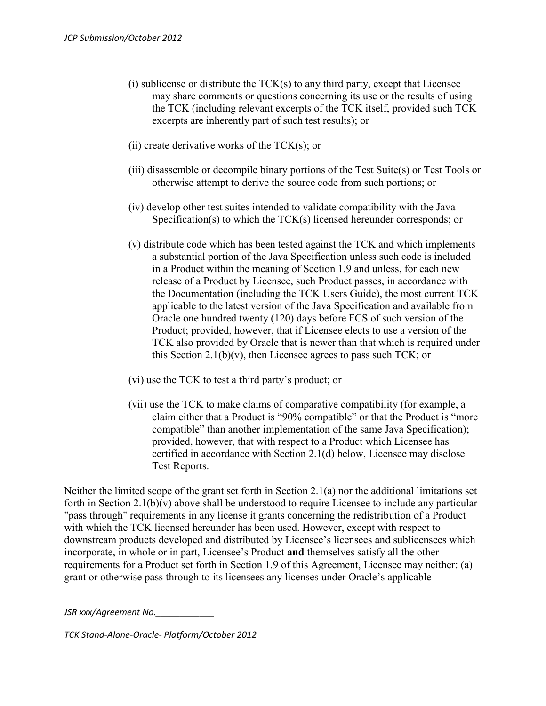- (i) sublicense or distribute the TCK(s) to any third party, except that Licensee may share comments or questions concerning its use or the results of using the TCK (including relevant excerpts of the TCK itself, provided such TCK excerpts are inherently part of such test results); or
- (ii) create derivative works of the  $TCK(s)$ ; or
- (iii) disassemble or decompile binary portions of the Test Suite(s) or Test Tools or otherwise attempt to derive the source code from such portions; or
- (iv) develop other test suites intended to validate compatibility with the Java Specification(s) to which the TCK(s) licensed hereunder corresponds; or
- (v) distribute code which has been tested against the TCK and which implements a substantial portion of the Java Specification unless such code is included in a Product within the meaning of Section 1.9 and unless, for each new release of a Product by Licensee, such Product passes, in accordance with the Documentation (including the TCK Users Guide), the most current TCK applicable to the latest version of the Java Specification and available from Oracle one hundred twenty (120) days before FCS of such version of the Product; provided, however, that if Licensee elects to use a version of the TCK also provided by Oracle that is newer than that which is required under this Section 2.1(b)(v), then Licensee agrees to pass such TCK; or
- (vi) use the TCK to test a third party's product; or
- (vii) use the TCK to make claims of comparative compatibility (for example, a claim either that a Product is "90% compatible" or that the Product is "more compatible" than another implementation of the same Java Specification); provided, however, that with respect to a Product which Licensee has certified in accordance with Section 2.1(d) below, Licensee may disclose Test Reports.

Neither the limited scope of the grant set forth in Section 2.1(a) nor the additional limitations set forth in Section 2.1(b)(v) above shall be understood to require Licensee to include any particular "pass through" requirements in any license it grants concerning the redistribution of a Product with which the TCK licensed hereunder has been used. However, except with respect to downstream products developed and distributed by Licensee's licensees and sublicensees which incorporate, in whole or in part, Licensee's Product **and** themselves satisfy all the other requirements for a Product set forth in Section 1.9 of this Agreement, Licensee may neither: (a) grant or otherwise pass through to its licensees any licenses under Oracle's applicable

*JSR xxx/Agreement No.\_\_\_\_\_\_\_\_\_\_\_\_*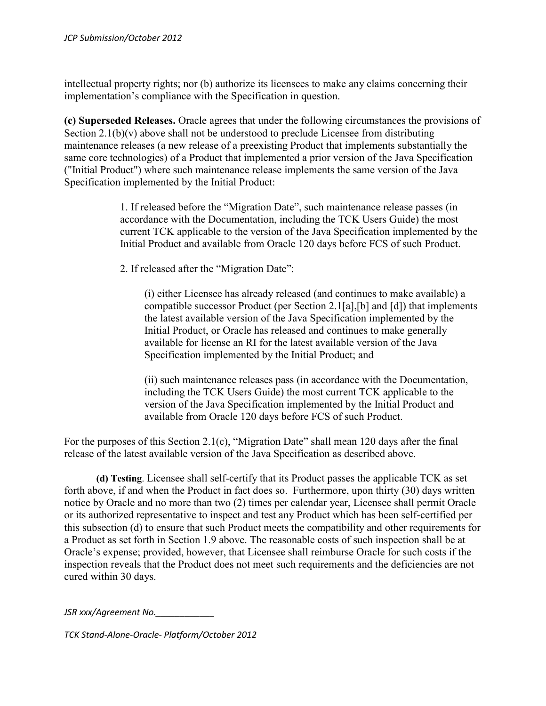intellectual property rights; nor (b) authorize its licensees to make any claims concerning their implementation's compliance with the Specification in question.

**(c) Superseded Releases.** Oracle agrees that under the following circumstances the provisions of Section  $2.1(b)(v)$  above shall not be understood to preclude Licensee from distributing maintenance releases (a new release of a preexisting Product that implements substantially the same core technologies) of a Product that implemented a prior version of the Java Specification ("Initial Product") where such maintenance release implements the same version of the Java Specification implemented by the Initial Product:

> 1. If released before the "Migration Date", such maintenance release passes (in accordance with the Documentation, including the TCK Users Guide) the most current TCK applicable to the version of the Java Specification implemented by the Initial Product and available from Oracle 120 days before FCS of such Product.

2. If released after the "Migration Date":

(i) either Licensee has already released (and continues to make available) a compatible successor Product (per Section 2.1[a],[b] and [d]) that implements the latest available version of the Java Specification implemented by the Initial Product, or Oracle has released and continues to make generally available for license an RI for the latest available version of the Java Specification implemented by the Initial Product; and

(ii) such maintenance releases pass (in accordance with the Documentation, including the TCK Users Guide) the most current TCK applicable to the version of the Java Specification implemented by the Initial Product and available from Oracle 120 days before FCS of such Product.

For the purposes of this Section 2.1(c), "Migration Date" shall mean 120 days after the final release of the latest available version of the Java Specification as described above.

**(d) Testing**. Licensee shall self-certify that its Product passes the applicable TCK as set forth above, if and when the Product in fact does so. Furthermore, upon thirty (30) days written notice by Oracle and no more than two (2) times per calendar year, Licensee shall permit Oracle or its authorized representative to inspect and test any Product which has been self-certified per this subsection (d) to ensure that such Product meets the compatibility and other requirements for a Product as set forth in Section 1.9 above. The reasonable costs of such inspection shall be at Oracle's expense; provided, however, that Licensee shall reimburse Oracle for such costs if the inspection reveals that the Product does not meet such requirements and the deficiencies are not cured within 30 days.

*JSR xxx/Agreement No.\_\_\_\_\_\_\_\_\_\_\_\_*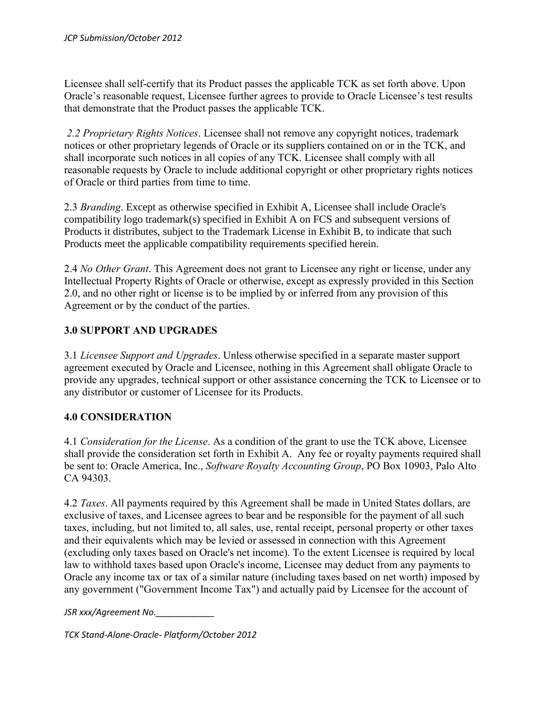Licensee shall self-certify that its Product passes the applicable TCK as set forth above. Upon Oracle's reasonable request, Licensee further agrees to provide to Oracle Licensee's test results that demonstrate that the Product passes the applicable TCK.

*2.2 Proprietary Rights Notices*. Licensee shall not remove any copyright notices, trademark notices or other proprietary legends of Oracle or its suppliers contained on or in the TCK, and shall incorporate such notices in all copies of any TCK. Licensee shall comply with all reasonable requests by Oracle to include additional copyright or other proprietary rights notices of Oracle or third parties from time to time.

2.3 *Branding*. Except as otherwise specified in Exhibit A, Licensee shall include Oracle's compatibility logo trademark(s) specified in Exhibit A on FCS and subsequent versions of Products it distributes, subject to the Trademark License in Exhibit B, to indicate that such Products meet the applicable compatibility requirements specified herein.

2.4 *No Other Grant*. This Agreement does not grant to Licensee any right or license, under any Intellectual Property Rights of Oracle or otherwise, except as expressly provided in this Section 2.0, and no other right or license is to be implied by or inferred from any provision of this Agreement or by the conduct of the parties.

### **3.0 SUPPORT AND UPGRADES**

3.1 *Licensee Support and Upgrades*. Unless otherwise specified in a separate master support agreement executed by Oracle and Licensee, nothing in this Agreement shall obligate Oracle to provide any upgrades, technical support or other assistance concerning the TCK to Licensee or to any distributor or customer of Licensee for its Products.

#### **4.0 CONSIDERATION**

4.1 *Consideration for the License*. As a condition of the grant to use the TCK above, Licensee shall provide the consideration set forth in Exhibit A. Any fee or royalty payments required shall be sent to: Oracle America, Inc., *Software Royalty Accounting Group*, PO Box 10903, Palo Alto CA 94303.

4.2 *Taxes*. All payments required by this Agreement shall be made in United States dollars, are exclusive of taxes, and Licensee agrees to bear and be responsible for the payment of all such taxes, including, but not limited to, all sales, use, rental receipt, personal property or other taxes and their equivalents which may be levied or assessed in connection with this Agreement (excluding only taxes based on Oracle's net income). To the extent Licensee is required by local law to withhold taxes based upon Oracle's income, Licensee may deduct from any payments to Oracle any income tax or tax of a similar nature (including taxes based on net worth) imposed by any government ("Government Income Tax") and actually paid by Licensee for the account of

*JSR xxx/Agreement No.\_\_\_\_\_\_\_\_\_\_\_\_*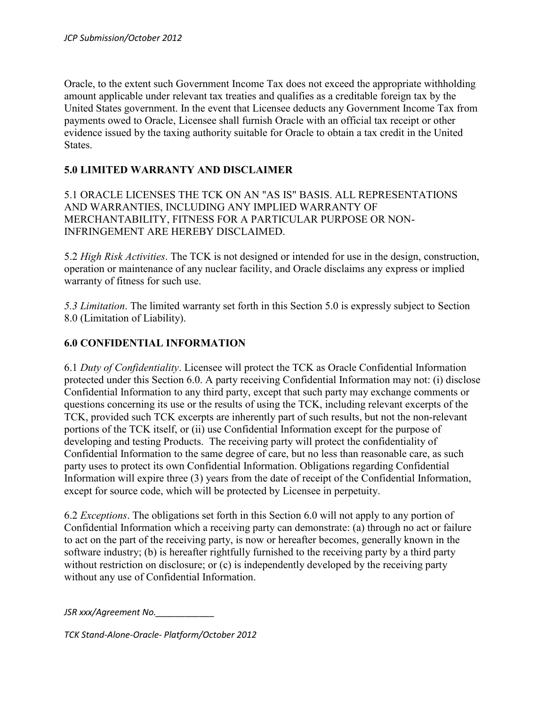Oracle, to the extent such Government Income Tax does not exceed the appropriate withholding amount applicable under relevant tax treaties and qualifies as a creditable foreign tax by the United States government. In the event that Licensee deducts any Government Income Tax from payments owed to Oracle, Licensee shall furnish Oracle with an official tax receipt or other evidence issued by the taxing authority suitable for Oracle to obtain a tax credit in the United States.

## **5.0 LIMITED WARRANTY AND DISCLAIMER**

5.1 ORACLE LICENSES THE TCK ON AN "AS IS" BASIS. ALL REPRESENTATIONS AND WARRANTIES, INCLUDING ANY IMPLIED WARRANTY OF MERCHANTABILITY, FITNESS FOR A PARTICULAR PURPOSE OR NON-INFRINGEMENT ARE HEREBY DISCLAIMED.

5.2 *High Risk Activities*. The TCK is not designed or intended for use in the design, construction, operation or maintenance of any nuclear facility, and Oracle disclaims any express or implied warranty of fitness for such use.

*5.3 Limitation*. The limited warranty set forth in this Section 5.0 is expressly subject to Section 8.0 (Limitation of Liability).

## **6.0 CONFIDENTIAL INFORMATION**

6.1 *Duty of Confidentiality*. Licensee will protect the TCK as Oracle Confidential Information protected under this Section 6.0. A party receiving Confidential Information may not: (i) disclose Confidential Information to any third party, except that such party may exchange comments or questions concerning its use or the results of using the TCK, including relevant excerpts of the TCK, provided such TCK excerpts are inherently part of such results, but not the non-relevant portions of the TCK itself, or (ii) use Confidential Information except for the purpose of developing and testing Products. The receiving party will protect the confidentiality of Confidential Information to the same degree of care, but no less than reasonable care, as such party uses to protect its own Confidential Information. Obligations regarding Confidential Information will expire three (3) years from the date of receipt of the Confidential Information, except for source code, which will be protected by Licensee in perpetuity.

6.2 *Exceptions*. The obligations set forth in this Section 6.0 will not apply to any portion of Confidential Information which a receiving party can demonstrate: (a) through no act or failure to act on the part of the receiving party, is now or hereafter becomes, generally known in the software industry; (b) is hereafter rightfully furnished to the receiving party by a third party without restriction on disclosure; or (c) is independently developed by the receiving party without any use of Confidential Information.

*JSR xxx/Agreement No.\_\_\_\_\_\_\_\_\_\_\_\_*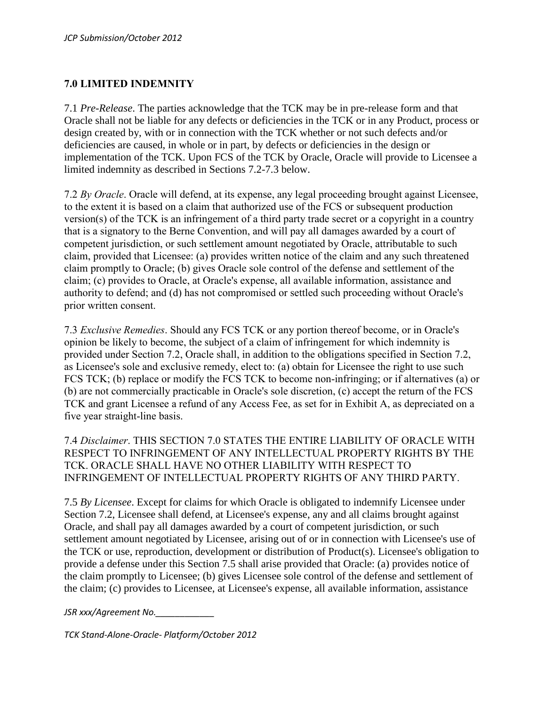### **7.0 LIMITED INDEMNITY**

7.1 *Pre-Release*. The parties acknowledge that the TCK may be in pre-release form and that Oracle shall not be liable for any defects or deficiencies in the TCK or in any Product, process or design created by, with or in connection with the TCK whether or not such defects and/or deficiencies are caused, in whole or in part, by defects or deficiencies in the design or implementation of the TCK. Upon FCS of the TCK by Oracle, Oracle will provide to Licensee a limited indemnity as described in Sections 7.2-7.3 below.

7.2 *By Oracle*. Oracle will defend, at its expense, any legal proceeding brought against Licensee, to the extent it is based on a claim that authorized use of the FCS or subsequent production version(s) of the TCK is an infringement of a third party trade secret or a copyright in a country that is a signatory to the Berne Convention, and will pay all damages awarded by a court of competent jurisdiction, or such settlement amount negotiated by Oracle, attributable to such claim, provided that Licensee: (a) provides written notice of the claim and any such threatened claim promptly to Oracle; (b) gives Oracle sole control of the defense and settlement of the claim; (c) provides to Oracle, at Oracle's expense, all available information, assistance and authority to defend; and (d) has not compromised or settled such proceeding without Oracle's prior written consent.

7.3 *Exclusive Remedies*. Should any FCS TCK or any portion thereof become, or in Oracle's opinion be likely to become, the subject of a claim of infringement for which indemnity is provided under Section 7.2, Oracle shall, in addition to the obligations specified in Section 7.2, as Licensee's sole and exclusive remedy, elect to: (a) obtain for Licensee the right to use such FCS TCK; (b) replace or modify the FCS TCK to become non-infringing; or if alternatives (a) or (b) are not commercially practicable in Oracle's sole discretion, (c) accept the return of the FCS TCK and grant Licensee a refund of any Access Fee, as set for in Exhibit A, as depreciated on a five year straight-line basis.

7.4 *Disclaimer*. THIS SECTION 7.0 STATES THE ENTIRE LIABILITY OF ORACLE WITH RESPECT TO INFRINGEMENT OF ANY INTELLECTUAL PROPERTY RIGHTS BY THE TCK. ORACLE SHALL HAVE NO OTHER LIABILITY WITH RESPECT TO INFRINGEMENT OF INTELLECTUAL PROPERTY RIGHTS OF ANY THIRD PARTY.

7.5 *By Licensee*. Except for claims for which Oracle is obligated to indemnify Licensee under Section 7.2, Licensee shall defend, at Licensee's expense, any and all claims brought against Oracle, and shall pay all damages awarded by a court of competent jurisdiction, or such settlement amount negotiated by Licensee, arising out of or in connection with Licensee's use of the TCK or use, reproduction, development or distribution of Product(s). Licensee's obligation to provide a defense under this Section 7.5 shall arise provided that Oracle: (a) provides notice of the claim promptly to Licensee; (b) gives Licensee sole control of the defense and settlement of the claim; (c) provides to Licensee, at Licensee's expense, all available information, assistance

*JSR xxx/Agreement No.\_\_\_\_\_\_\_\_\_\_\_\_*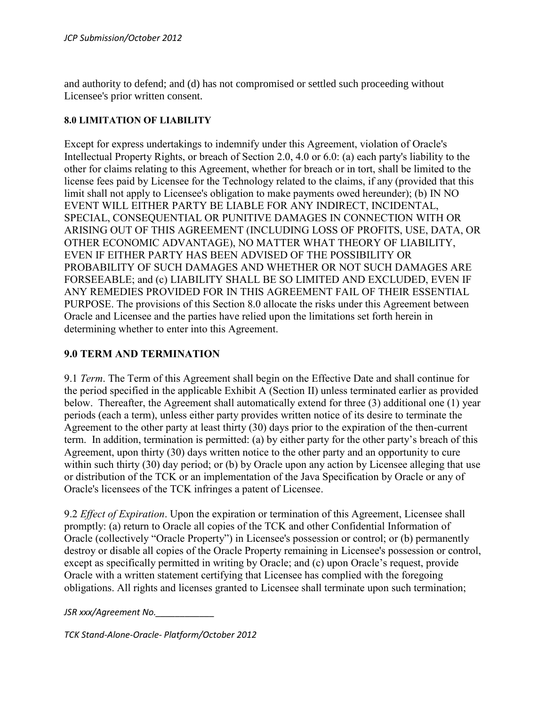and authority to defend; and (d) has not compromised or settled such proceeding without Licensee's prior written consent.

#### **8.0 LIMITATION OF LIABILITY**

Except for express undertakings to indemnify under this Agreement, violation of Oracle's Intellectual Property Rights, or breach of Section 2.0, 4.0 or 6.0: (a) each party's liability to the other for claims relating to this Agreement, whether for breach or in tort, shall be limited to the license fees paid by Licensee for the Technology related to the claims, if any (provided that this limit shall not apply to Licensee's obligation to make payments owed hereunder); (b) IN NO EVENT WILL EITHER PARTY BE LIABLE FOR ANY INDIRECT, INCIDENTAL, SPECIAL, CONSEQUENTIAL OR PUNITIVE DAMAGES IN CONNECTION WITH OR ARISING OUT OF THIS AGREEMENT (INCLUDING LOSS OF PROFITS, USE, DATA, OR OTHER ECONOMIC ADVANTAGE), NO MATTER WHAT THEORY OF LIABILITY, EVEN IF EITHER PARTY HAS BEEN ADVISED OF THE POSSIBILITY OR PROBABILITY OF SUCH DAMAGES AND WHETHER OR NOT SUCH DAMAGES ARE FORSEEABLE; and (c) LIABILITY SHALL BE SO LIMITED AND EXCLUDED, EVEN IF ANY REMEDIES PROVIDED FOR IN THIS AGREEMENT FAIL OF THEIR ESSENTIAL PURPOSE. The provisions of this Section 8.0 allocate the risks under this Agreement between Oracle and Licensee and the parties have relied upon the limitations set forth herein in determining whether to enter into this Agreement.

#### **9.0 TERM AND TERMINATION**

9.1 *Term*. The Term of this Agreement shall begin on the Effective Date and shall continue for the period specified in the applicable Exhibit A (Section II) unless terminated earlier as provided below. Thereafter, the Agreement shall automatically extend for three (3) additional one (1) year periods (each a term), unless either party provides written notice of its desire to terminate the Agreement to the other party at least thirty (30) days prior to the expiration of the then-current term. In addition, termination is permitted: (a) by either party for the other party's breach of this Agreement, upon thirty (30) days written notice to the other party and an opportunity to cure within such thirty (30) day period; or (b) by Oracle upon any action by Licensee alleging that use or distribution of the TCK or an implementation of the Java Specification by Oracle or any of Oracle's licensees of the TCK infringes a patent of Licensee.

9.2 *Effect of Expiration*. Upon the expiration or termination of this Agreement, Licensee shall promptly: (a) return to Oracle all copies of the TCK and other Confidential Information of Oracle (collectively "Oracle Property") in Licensee's possession or control; or (b) permanently destroy or disable all copies of the Oracle Property remaining in Licensee's possession or control, except as specifically permitted in writing by Oracle; and (c) upon Oracle's request, provide Oracle with a written statement certifying that Licensee has complied with the foregoing obligations. All rights and licenses granted to Licensee shall terminate upon such termination;

*JSR xxx/Agreement No.\_\_\_\_\_\_\_\_\_\_\_\_*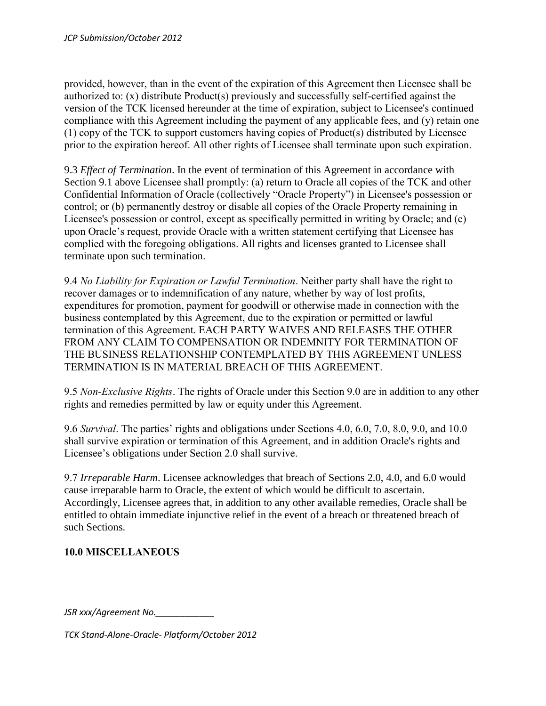provided, however, than in the event of the expiration of this Agreement then Licensee shall be authorized to: (x) distribute Product(s) previously and successfully self-certified against the version of the TCK licensed hereunder at the time of expiration, subject to Licensee's continued compliance with this Agreement including the payment of any applicable fees, and (y) retain one (1) copy of the TCK to support customers having copies of Product(s) distributed by Licensee prior to the expiration hereof. All other rights of Licensee shall terminate upon such expiration.

9.3 *Effect of Termination*. In the event of termination of this Agreement in accordance with Section 9.1 above Licensee shall promptly: (a) return to Oracle all copies of the TCK and other Confidential Information of Oracle (collectively "Oracle Property") in Licensee's possession or control; or (b) permanently destroy or disable all copies of the Oracle Property remaining in Licensee's possession or control, except as specifically permitted in writing by Oracle; and (c) upon Oracle's request, provide Oracle with a written statement certifying that Licensee has complied with the foregoing obligations. All rights and licenses granted to Licensee shall terminate upon such termination.

9.4 *No Liability for Expiration or Lawful Termination*. Neither party shall have the right to recover damages or to indemnification of any nature, whether by way of lost profits, expenditures for promotion, payment for goodwill or otherwise made in connection with the business contemplated by this Agreement, due to the expiration or permitted or lawful termination of this Agreement. EACH PARTY WAIVES AND RELEASES THE OTHER FROM ANY CLAIM TO COMPENSATION OR INDEMNITY FOR TERMINATION OF THE BUSINESS RELATIONSHIP CONTEMPLATED BY THIS AGREEMENT UNLESS TERMINATION IS IN MATERIAL BREACH OF THIS AGREEMENT.

9.5 *Non-Exclusive Rights*. The rights of Oracle under this Section 9.0 are in addition to any other rights and remedies permitted by law or equity under this Agreement.

9.6 *Survival*. The parties' rights and obligations under Sections 4.0, 6.0, 7.0, 8.0, 9.0, and 10.0 shall survive expiration or termination of this Agreement, and in addition Oracle's rights and Licensee's obligations under Section 2.0 shall survive.

9.7 *Irreparable Harm*. Licensee acknowledges that breach of Sections 2.0, 4.0, and 6.0 would cause irreparable harm to Oracle, the extent of which would be difficult to ascertain. Accordingly, Licensee agrees that, in addition to any other available remedies, Oracle shall be entitled to obtain immediate injunctive relief in the event of a breach or threatened breach of such Sections.

## **10.0 MISCELLANEOUS**

*JSR xxx/Agreement No.\_\_\_\_\_\_\_\_\_\_\_\_*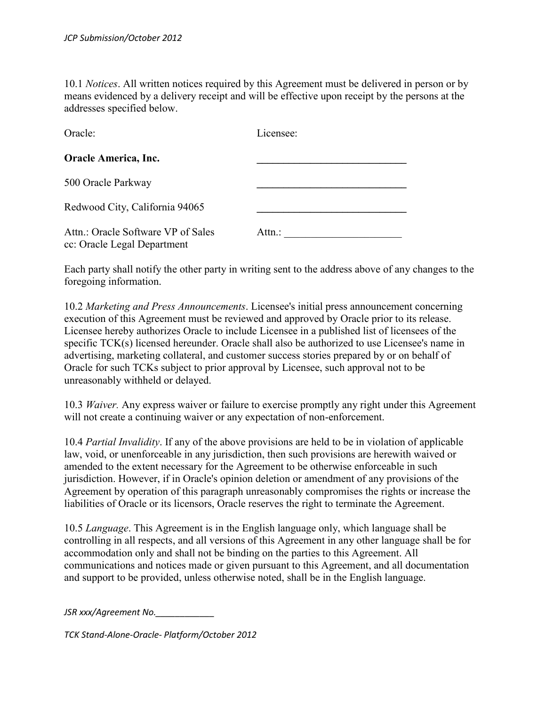10.1 *Notices*. All written notices required by this Agreement must be delivered in person or by means evidenced by a delivery receipt and will be effective upon receipt by the persons at the addresses specified below.

| Oracle:                                                           | Licensee: |
|-------------------------------------------------------------------|-----------|
| <b>Oracle America, Inc.</b>                                       |           |
| 500 Oracle Parkway                                                |           |
| Redwood City, California 94065                                    |           |
| Attn.: Oracle Software VP of Sales<br>cc: Oracle Legal Department | Attn.:    |

Each party shall notify the other party in writing sent to the address above of any changes to the foregoing information.

10.2 *Marketing and Press Announcements*. Licensee's initial press announcement concerning execution of this Agreement must be reviewed and approved by Oracle prior to its release. Licensee hereby authorizes Oracle to include Licensee in a published list of licensees of the specific TCK(s) licensed hereunder. Oracle shall also be authorized to use Licensee's name in advertising, marketing collateral, and customer success stories prepared by or on behalf of Oracle for such TCKs subject to prior approval by Licensee, such approval not to be unreasonably withheld or delayed.

10.3 *Waiver.* Any express waiver or failure to exercise promptly any right under this Agreement will not create a continuing waiver or any expectation of non-enforcement.

10.4 *Partial Invalidity*. If any of the above provisions are held to be in violation of applicable law, void, or unenforceable in any jurisdiction, then such provisions are herewith waived or amended to the extent necessary for the Agreement to be otherwise enforceable in such jurisdiction. However, if in Oracle's opinion deletion or amendment of any provisions of the Agreement by operation of this paragraph unreasonably compromises the rights or increase the liabilities of Oracle or its licensors, Oracle reserves the right to terminate the Agreement.

10.5 *Language*. This Agreement is in the English language only, which language shall be controlling in all respects, and all versions of this Agreement in any other language shall be for accommodation only and shall not be binding on the parties to this Agreement. All communications and notices made or given pursuant to this Agreement, and all documentation and support to be provided, unless otherwise noted, shall be in the English language.

*JSR xxx/Agreement No.\_\_\_\_\_\_\_\_\_\_\_\_*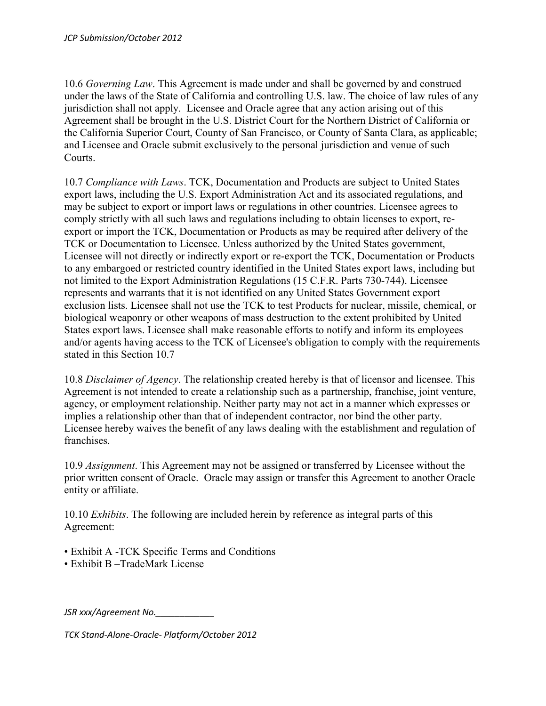10.6 *Governing Law*. This Agreement is made under and shall be governed by and construed under the laws of the State of California and controlling U.S. law. The choice of law rules of any jurisdiction shall not apply. Licensee and Oracle agree that any action arising out of this Agreement shall be brought in the U.S. District Court for the Northern District of California or the California Superior Court, County of San Francisco, or County of Santa Clara, as applicable; and Licensee and Oracle submit exclusively to the personal jurisdiction and venue of such Courts.

10.7 *Compliance with Laws*. TCK, Documentation and Products are subject to United States export laws, including the U.S. Export Administration Act and its associated regulations, and may be subject to export or import laws or regulations in other countries. Licensee agrees to comply strictly with all such laws and regulations including to obtain licenses to export, reexport or import the TCK, Documentation or Products as may be required after delivery of the TCK or Documentation to Licensee. Unless authorized by the United States government, Licensee will not directly or indirectly export or re-export the TCK, Documentation or Products to any embargoed or restricted country identified in the United States export laws, including but not limited to the Export Administration Regulations (15 C.F.R. Parts 730-744). Licensee represents and warrants that it is not identified on any United States Government export exclusion lists. Licensee shall not use the TCK to test Products for nuclear, missile, chemical, or biological weaponry or other weapons of mass destruction to the extent prohibited by United States export laws. Licensee shall make reasonable efforts to notify and inform its employees and/or agents having access to the TCK of Licensee's obligation to comply with the requirements stated in this Section 10.7

10.8 *Disclaimer of Agency*. The relationship created hereby is that of licensor and licensee. This Agreement is not intended to create a relationship such as a partnership, franchise, joint venture, agency, or employment relationship. Neither party may not act in a manner which expresses or implies a relationship other than that of independent contractor, nor bind the other party. Licensee hereby waives the benefit of any laws dealing with the establishment and regulation of franchises.

10.9 *Assignment*. This Agreement may not be assigned or transferred by Licensee without the prior written consent of Oracle. Oracle may assign or transfer this Agreement to another Oracle entity or affiliate.

10.10 *Exhibits*. The following are included herein by reference as integral parts of this Agreement:

- Exhibit A -TCK Specific Terms and Conditions
- Exhibit B –TradeMark License

*JSR xxx/Agreement No.\_\_\_\_\_\_\_\_\_\_\_\_*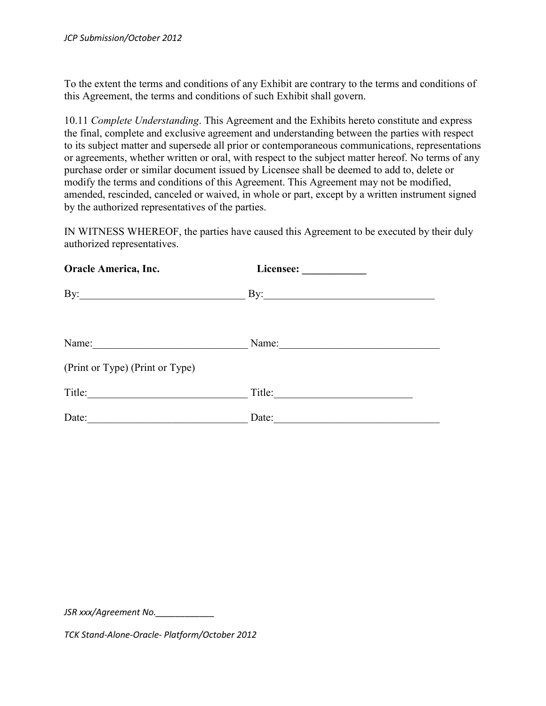To the extent the terms and conditions of any Exhibit are contrary to the terms and conditions of this Agreement, the terms and conditions of such Exhibit shall govern.

10.11 *Complete Understanding*. This Agreement and the Exhibits hereto constitute and express the final, complete and exclusive agreement and understanding between the parties with respect to its subject matter and supersede all prior or contemporaneous communications, representations or agreements, whether written or oral, with respect to the subject matter hereof. No terms of any purchase order or similar document issued by Licensee shall be deemed to add to, delete or modify the terms and conditions of this Agreement. This Agreement may not be modified, amended, rescinded, canceled or waived, in whole or part, except by a written instrument signed by the authorized representatives of the parties.

IN WITNESS WHEREOF, the parties have caused this Agreement to be executed by their duly authorized representatives.

| <b>Oracle America, Inc.</b>     |                               |  |
|---------------------------------|-------------------------------|--|
| By: $\qquad \qquad$             | $\mathbf{By:}\_\_\_\_\_\_\_\$ |  |
| Name: Name:                     |                               |  |
| (Print or Type) (Print or Type) |                               |  |
|                                 | Title:                        |  |
| Date:                           | Date:                         |  |

*JSR xxx/Agreement No.\_\_\_\_\_\_\_\_\_\_\_\_*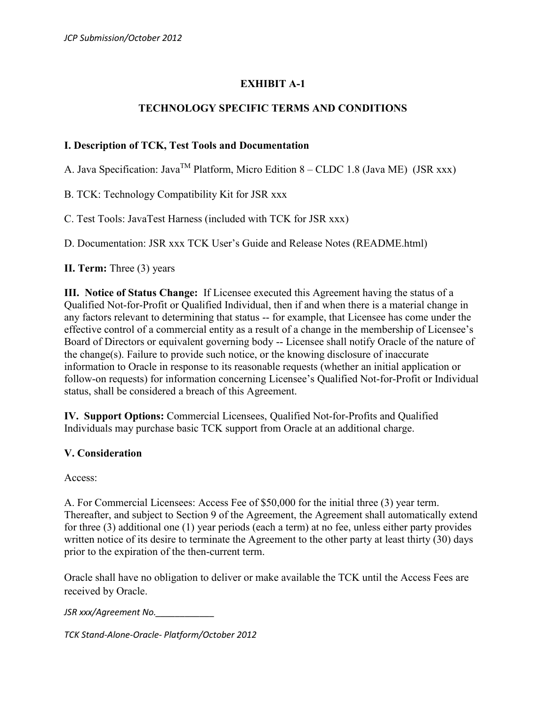## **EXHIBIT A-1**

## **TECHNOLOGY SPECIFIC TERMS AND CONDITIONS**

#### **I. Description of TCK, Test Tools and Documentation**

A. Java Specification: Java<sup>TM</sup> Platform, Micro Edition 8 – CLDC 1.8 (Java ME) (JSR xxx)

B. TCK: Technology Compatibility Kit for JSR xxx

C. Test Tools: JavaTest Harness (included with TCK for JSR xxx)

D. Documentation: JSR xxx TCK User's Guide and Release Notes (README.html)

**II. Term:** Three (3) years

**III. Notice of Status Change:** If Licensee executed this Agreement having the status of a Qualified Not-for-Profit or Qualified Individual, then if and when there is a material change in any factors relevant to determining that status -- for example, that Licensee has come under the effective control of a commercial entity as a result of a change in the membership of Licensee's Board of Directors or equivalent governing body -- Licensee shall notify Oracle of the nature of the change(s). Failure to provide such notice, or the knowing disclosure of inaccurate information to Oracle in response to its reasonable requests (whether an initial application or follow-on requests) for information concerning Licensee's Qualified Not-for-Profit or Individual status, shall be considered a breach of this Agreement.

**IV. Support Options:** Commercial Licensees, Qualified Not-for-Profits and Qualified Individuals may purchase basic TCK support from Oracle at an additional charge.

#### **V. Consideration**

Access:

A. For Commercial Licensees: Access Fee of \$50,000 for the initial three (3) year term. Thereafter, and subject to Section 9 of the Agreement, the Agreement shall automatically extend for three (3) additional one (1) year periods (each a term) at no fee, unless either party provides written notice of its desire to terminate the Agreement to the other party at least thirty (30) days prior to the expiration of the then-current term.

Oracle shall have no obligation to deliver or make available the TCK until the Access Fees are received by Oracle.

*JSR xxx/Agreement No.\_\_\_\_\_\_\_\_\_\_\_\_*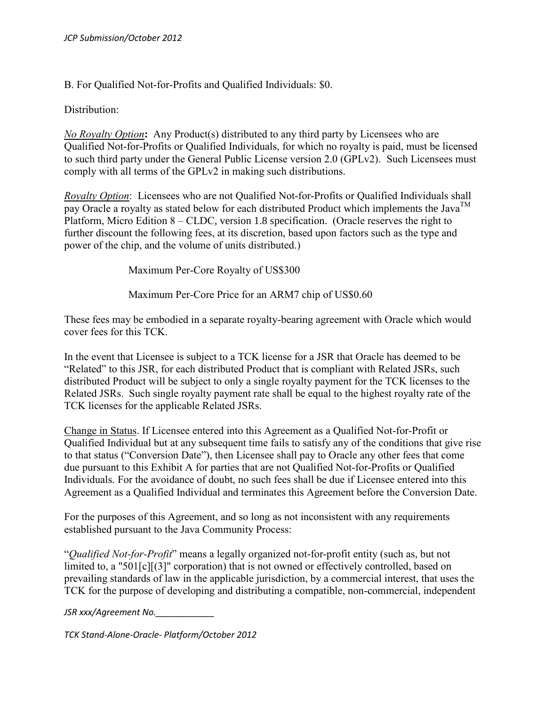B. For Qualified Not-for-Profits and Qualified Individuals: \$0.

Distribution:

*No Royalty Option***:** Any Product(s) distributed to any third party by Licensees who are Qualified Not-for-Profits or Qualified Individuals, for which no royalty is paid, must be licensed to such third party under the General Public License version 2.0 (GPLv2). Such Licensees must comply with all terms of the GPLv2 in making such distributions.

*Royalty Option*: Licensees who are not Qualified Not-for-Profits or Qualified Individuals shall pay Oracle a royalty as stated below for each distributed Product which implements the Java<sup>TM</sup> Platform, Micro Edition 8 – CLDC, version 1.8 specification. (Oracle reserves the right to further discount the following fees, at its discretion, based upon factors such as the type and power of the chip, and the volume of units distributed.)

Maximum Per-Core Royalty of US\$300

Maximum Per-Core Price for an ARM7 chip of US\$0.60

These fees may be embodied in a separate royalty-bearing agreement with Oracle which would cover fees for this TCK.

In the event that Licensee is subject to a TCK license for a JSR that Oracle has deemed to be "Related" to this JSR, for each distributed Product that is compliant with Related JSRs, such distributed Product will be subject to only a single royalty payment for the TCK licenses to the Related JSRs. Such single royalty payment rate shall be equal to the highest royalty rate of the TCK licenses for the applicable Related JSRs.

Change in Status. If Licensee entered into this Agreement as a Qualified Not-for-Profit or Qualified Individual but at any subsequent time fails to satisfy any of the conditions that give rise to that status ("Conversion Date"), then Licensee shall pay to Oracle any other fees that come due pursuant to this Exhibit A for parties that are not Qualified Not-for-Profits or Qualified Individuals. For the avoidance of doubt, no such fees shall be due if Licensee entered into this Agreement as a Qualified Individual and terminates this Agreement before the Conversion Date.

For the purposes of this Agreement, and so long as not inconsistent with any requirements established pursuant to the Java Community Process:

"*Qualified Not-for-Profit*" means a legally organized not-for-profit entity (such as, but not limited to, a "501[c][(3]" corporation) that is not owned or effectively controlled, based on prevailing standards of law in the applicable jurisdiction, by a commercial interest, that uses the TCK for the purpose of developing and distributing a compatible, non-commercial, independent

*JSR xxx/Agreement No.\_\_\_\_\_\_\_\_\_\_\_\_*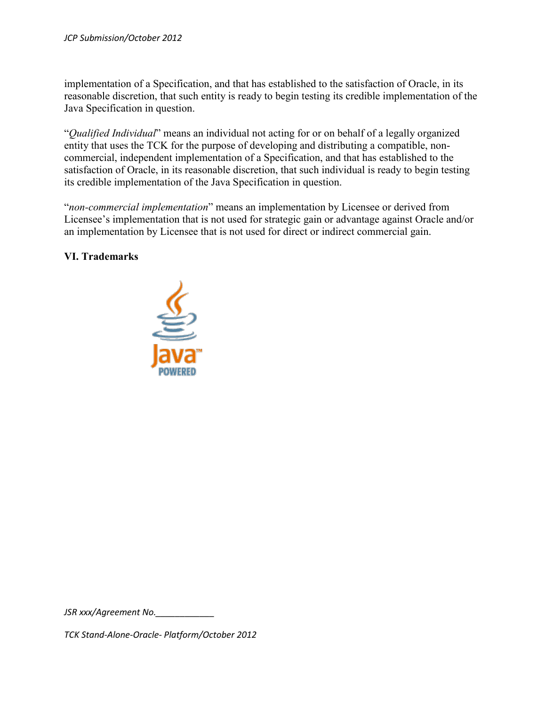implementation of a Specification, and that has established to the satisfaction of Oracle, in its reasonable discretion, that such entity is ready to begin testing its credible implementation of the Java Specification in question.

"*Qualified Individual*" means an individual not acting for or on behalf of a legally organized entity that uses the TCK for the purpose of developing and distributing a compatible, noncommercial, independent implementation of a Specification, and that has established to the satisfaction of Oracle, in its reasonable discretion, that such individual is ready to begin testing its credible implementation of the Java Specification in question.

"*non-commercial implementation*" means an implementation by Licensee or derived from Licensee's implementation that is not used for strategic gain or advantage against Oracle and/or an implementation by Licensee that is not used for direct or indirect commercial gain.

#### **VI. Trademarks**



*JSR xxx/Agreement No.\_\_\_\_\_\_\_\_\_\_\_\_*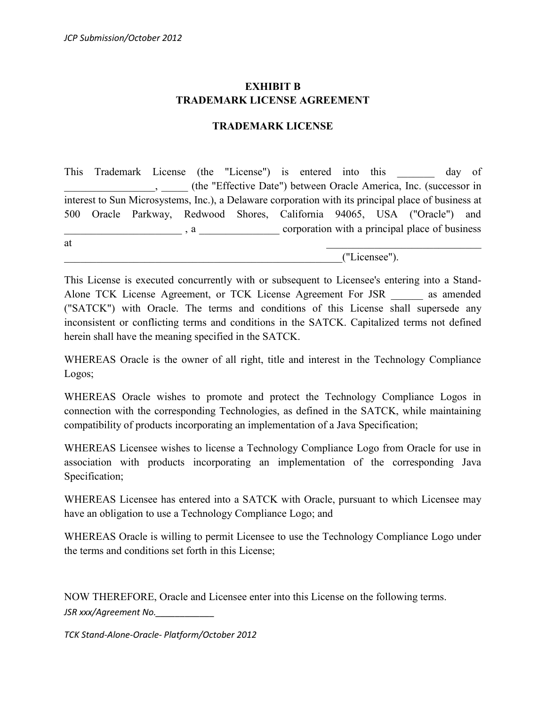## **EXHIBIT B TRADEMARK LICENSE AGREEMENT**

#### **TRADEMARK LICENSE**

This Trademark License (the "License") is entered into this day of \_\_\_\_\_\_\_\_\_\_\_\_\_\_\_\_\_, \_\_\_\_\_ (the "Effective Date") between Oracle America, Inc. (successor in interest to Sun Microsystems, Inc.), a Delaware corporation with its principal place of business at 500 Oracle Parkway, Redwood Shores, California 94065, USA ("Oracle") and  $\Box$ , a  $\Box$  corporation with a principal place of business at  $\overline{a}$ 

\_\_\_\_\_\_\_\_\_\_\_\_\_\_\_\_\_\_\_\_\_\_\_\_\_\_\_\_\_\_\_\_\_\_\_\_\_\_\_\_\_\_\_\_\_\_\_\_\_\_\_\_("Licensee").

This License is executed concurrently with or subsequent to Licensee's entering into a Stand-Alone TCK License Agreement, or TCK License Agreement For JSR as amended ("SATCK") with Oracle. The terms and conditions of this License shall supersede any inconsistent or conflicting terms and conditions in the SATCK. Capitalized terms not defined herein shall have the meaning specified in the SATCK.

WHEREAS Oracle is the owner of all right, title and interest in the Technology Compliance Logos;

WHEREAS Oracle wishes to promote and protect the Technology Compliance Logos in connection with the corresponding Technologies, as defined in the SATCK, while maintaining compatibility of products incorporating an implementation of a Java Specification;

WHEREAS Licensee wishes to license a Technology Compliance Logo from Oracle for use in association with products incorporating an implementation of the corresponding Java Specification;

WHEREAS Licensee has entered into a SATCK with Oracle, pursuant to which Licensee may have an obligation to use a Technology Compliance Logo; and

WHEREAS Oracle is willing to permit Licensee to use the Technology Compliance Logo under the terms and conditions set forth in this License;

*JSR xxx/Agreement No.\_\_\_\_\_\_\_\_\_\_\_\_* NOW THEREFORE, Oracle and Licensee enter into this License on the following terms.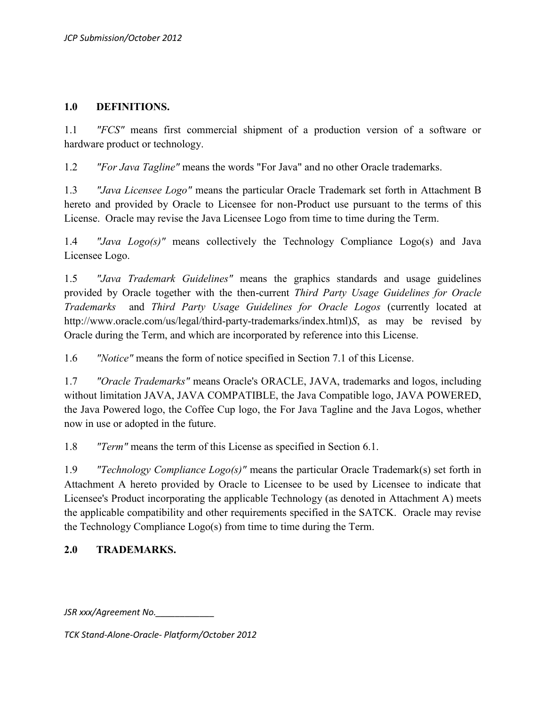#### **1.0 DEFINITIONS.**

1.1 *"FCS"* means first commercial shipment of a production version of a software or hardware product or technology.

1.2 *"For Java Tagline"* means the words "For Java" and no other Oracle trademarks.

1.3 *"Java Licensee Logo"* means the particular Oracle Trademark set forth in Attachment B hereto and provided by Oracle to Licensee for non-Product use pursuant to the terms of this License. Oracle may revise the Java Licensee Logo from time to time during the Term.

1.4 *"Java Logo(s)"* means collectively the Technology Compliance Logo(s) and Java Licensee Logo.

1.5 *"Java Trademark Guidelines"* means the graphics standards and usage guidelines provided by Oracle together with the then-current *Third Party Usage Guidelines for Oracle Trademarks* and *Third Party Usage Guidelines for Oracle Logos* (currently located at http://www.oracle.com/us/legal/third-party-trademarks/index.html)*S*, as may be revised by Oracle during the Term, and which are incorporated by reference into this License.

1.6 *"Notice"* means the form of notice specified in Section 7.1 of this License.

1.7 *"Oracle Trademarks"* means Oracle's ORACLE, JAVA, trademarks and logos, including without limitation JAVA, JAVA COMPATIBLE, the Java Compatible logo, JAVA POWERED, the Java Powered logo, the Coffee Cup logo, the For Java Tagline and the Java Logos, whether now in use or adopted in the future.

1.8 *"Term"* means the term of this License as specified in Section 6.1.

1.9 *"Technology Compliance Logo(s)"* means the particular Oracle Trademark(s) set forth in Attachment A hereto provided by Oracle to Licensee to be used by Licensee to indicate that Licensee's Product incorporating the applicable Technology (as denoted in Attachment A) meets the applicable compatibility and other requirements specified in the SATCK. Oracle may revise the Technology Compliance Logo(s) from time to time during the Term.

## **2.0 TRADEMARKS.**

*JSR xxx/Agreement No.\_\_\_\_\_\_\_\_\_\_\_\_*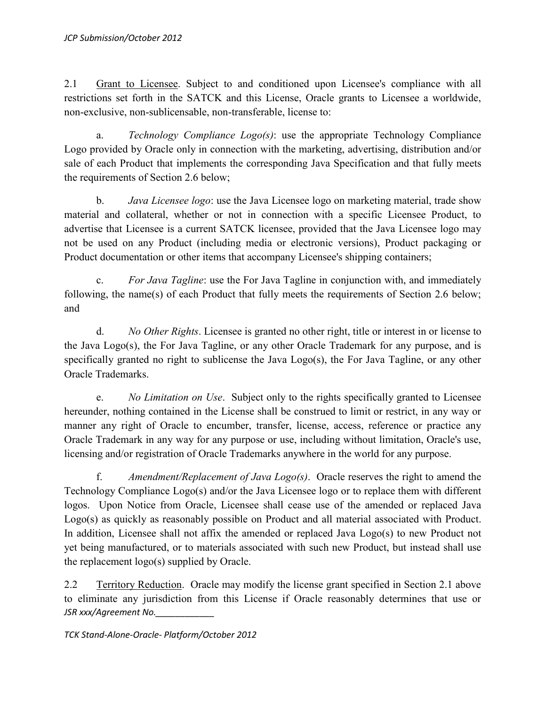2.1 Grant to Licensee. Subject to and conditioned upon Licensee's compliance with all restrictions set forth in the SATCK and this License, Oracle grants to Licensee a worldwide, non-exclusive, non-sublicensable, non-transferable, license to:

a. *Technology Compliance Logo(s)*: use the appropriate Technology Compliance Logo provided by Oracle only in connection with the marketing, advertising, distribution and/or sale of each Product that implements the corresponding Java Specification and that fully meets the requirements of Section 2.6 below;

b. *Java Licensee logo*: use the Java Licensee logo on marketing material, trade show material and collateral, whether or not in connection with a specific Licensee Product, to advertise that Licensee is a current SATCK licensee, provided that the Java Licensee logo may not be used on any Product (including media or electronic versions), Product packaging or Product documentation or other items that accompany Licensee's shipping containers;

c. *For Java Tagline*: use the For Java Tagline in conjunction with, and immediately following, the name(s) of each Product that fully meets the requirements of Section 2.6 below; and

d. *No Other Rights*. Licensee is granted no other right, title or interest in or license to the Java Logo(s), the For Java Tagline, or any other Oracle Trademark for any purpose, and is specifically granted no right to sublicense the Java Logo(s), the For Java Tagline, or any other Oracle Trademarks.

e. *No Limitation on Use*. Subject only to the rights specifically granted to Licensee hereunder, nothing contained in the License shall be construed to limit or restrict, in any way or manner any right of Oracle to encumber, transfer, license, access, reference or practice any Oracle Trademark in any way for any purpose or use, including without limitation, Oracle's use, licensing and/or registration of Oracle Trademarks anywhere in the world for any purpose.

f. *Amendment/Replacement of Java Logo(s)*. Oracle reserves the right to amend the Technology Compliance Logo(s) and/or the Java Licensee logo or to replace them with different logos. Upon Notice from Oracle, Licensee shall cease use of the amended or replaced Java Logo(s) as quickly as reasonably possible on Product and all material associated with Product. In addition, Licensee shall not affix the amended or replaced Java Logo(s) to new Product not yet being manufactured, or to materials associated with such new Product, but instead shall use the replacement logo(s) supplied by Oracle.

*JSR xxx/Agreement No.\_\_\_\_\_\_\_\_\_\_\_\_* 2.2 Territory Reduction. Oracle may modify the license grant specified in Section 2.1 above to eliminate any jurisdiction from this License if Oracle reasonably determines that use or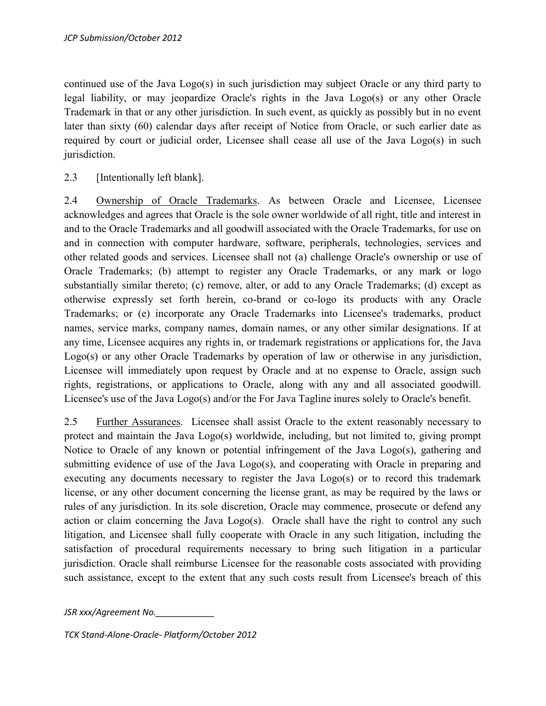continued use of the Java Logo(s) in such jurisdiction may subject Oracle or any third party to legal liability, or may jeopardize Oracle's rights in the Java Logo(s) or any other Oracle Trademark in that or any other jurisdiction. In such event, as quickly as possibly but in no event later than sixty (60) calendar days after receipt of Notice from Oracle, or such earlier date as required by court or judicial order, Licensee shall cease all use of the Java Logo(s) in such jurisdiction.

2.3 [Intentionally left blank].

2.4 Ownership of Oracle Trademarks. As between Oracle and Licensee, Licensee acknowledges and agrees that Oracle is the sole owner worldwide of all right, title and interest in and to the Oracle Trademarks and all goodwill associated with the Oracle Trademarks, for use on and in connection with computer hardware, software, peripherals, technologies, services and other related goods and services. Licensee shall not (a) challenge Oracle's ownership or use of Oracle Trademarks; (b) attempt to register any Oracle Trademarks, or any mark or logo substantially similar thereto; (c) remove, alter, or add to any Oracle Trademarks; (d) except as otherwise expressly set forth herein, co-brand or co-logo its products with any Oracle Trademarks; or (e) incorporate any Oracle Trademarks into Licensee's trademarks, product names, service marks, company names, domain names, or any other similar designations. If at any time, Licensee acquires any rights in, or trademark registrations or applications for, the Java Logo(s) or any other Oracle Trademarks by operation of law or otherwise in any jurisdiction, Licensee will immediately upon request by Oracle and at no expense to Oracle, assign such rights, registrations, or applications to Oracle, along with any and all associated goodwill. Licensee's use of the Java Logo(s) and/or the For Java Tagline inures solely to Oracle's benefit.

2.5 Further Assurances. Licensee shall assist Oracle to the extent reasonably necessary to protect and maintain the Java Logo(s) worldwide, including, but not limited to, giving prompt Notice to Oracle of any known or potential infringement of the Java Logo(s), gathering and submitting evidence of use of the Java Logo(s), and cooperating with Oracle in preparing and executing any documents necessary to register the Java Logo(s) or to record this trademark license, or any other document concerning the license grant, as may be required by the laws or rules of any jurisdiction. In its sole discretion, Oracle may commence, prosecute or defend any action or claim concerning the Java Logo(s). Oracle shall have the right to control any such litigation, and Licensee shall fully cooperate with Oracle in any such litigation, including the satisfaction of procedural requirements necessary to bring such litigation in a particular jurisdiction. Oracle shall reimburse Licensee for the reasonable costs associated with providing such assistance, except to the extent that any such costs result from Licensee's breach of this

*JSR xxx/Agreement No.\_\_\_\_\_\_\_\_\_\_\_\_*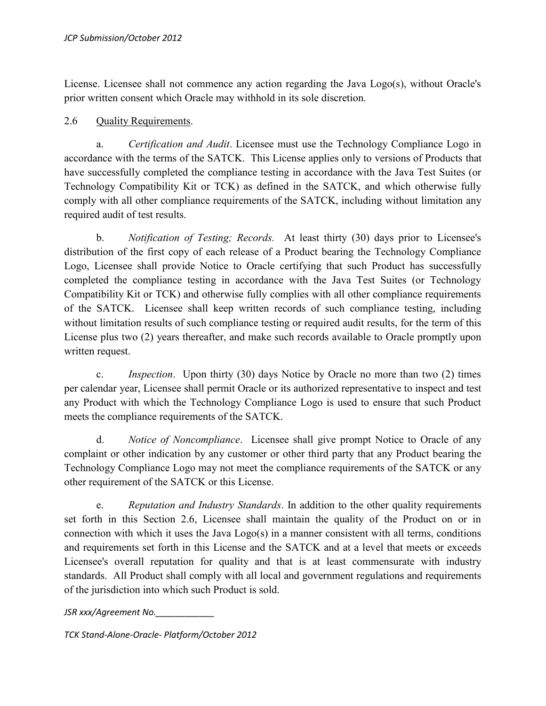License. Licensee shall not commence any action regarding the Java Logo(s), without Oracle's prior written consent which Oracle may withhold in its sole discretion.

## 2.6 Quality Requirements.

a. *Certification and Audit*. Licensee must use the Technology Compliance Logo in accordance with the terms of the SATCK. This License applies only to versions of Products that have successfully completed the compliance testing in accordance with the Java Test Suites (or Technology Compatibility Kit or TCK) as defined in the SATCK, and which otherwise fully comply with all other compliance requirements of the SATCK, including without limitation any required audit of test results.

b. *Notification of Testing; Records.* At least thirty (30) days prior to Licensee's distribution of the first copy of each release of a Product bearing the Technology Compliance Logo, Licensee shall provide Notice to Oracle certifying that such Product has successfully completed the compliance testing in accordance with the Java Test Suites (or Technology Compatibility Kit or TCK) and otherwise fully complies with all other compliance requirements of the SATCK. Licensee shall keep written records of such compliance testing, including without limitation results of such compliance testing or required audit results, for the term of this License plus two (2) years thereafter, and make such records available to Oracle promptly upon written request.

c. *Inspection*. Upon thirty (30) days Notice by Oracle no more than two (2) times per calendar year, Licensee shall permit Oracle or its authorized representative to inspect and test any Product with which the Technology Compliance Logo is used to ensure that such Product meets the compliance requirements of the SATCK.

d. *Notice of Noncompliance*. Licensee shall give prompt Notice to Oracle of any complaint or other indication by any customer or other third party that any Product bearing the Technology Compliance Logo may not meet the compliance requirements of the SATCK or any other requirement of the SATCK or this License.

e. *Reputation and Industry Standards*. In addition to the other quality requirements set forth in this Section 2.6, Licensee shall maintain the quality of the Product on or in connection with which it uses the Java Logo(s) in a manner consistent with all terms, conditions and requirements set forth in this License and the SATCK and at a level that meets or exceeds Licensee's overall reputation for quality and that is at least commensurate with industry standards. All Product shall comply with all local and government regulations and requirements of the jurisdiction into which such Product is sold.

*JSR xxx/Agreement No.\_\_\_\_\_\_\_\_\_\_\_\_*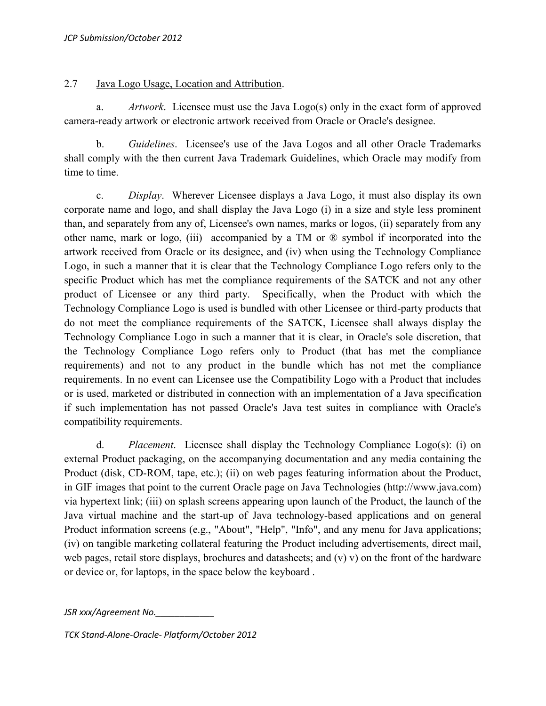### 2.7 Java Logo Usage, Location and Attribution.

a. *Artwork*. Licensee must use the Java Logo(s) only in the exact form of approved camera-ready artwork or electronic artwork received from Oracle or Oracle's designee.

b. *Guidelines*. Licensee's use of the Java Logos and all other Oracle Trademarks shall comply with the then current Java Trademark Guidelines, which Oracle may modify from time to time.

c. *Display*. Wherever Licensee displays a Java Logo, it must also display its own corporate name and logo, and shall display the Java Logo (i) in a size and style less prominent than, and separately from any of, Licensee's own names, marks or logos, (ii) separately from any other name, mark or logo, (iii) accompanied by a TM or ® symbol if incorporated into the artwork received from Oracle or its designee, and (iv) when using the Technology Compliance Logo, in such a manner that it is clear that the Technology Compliance Logo refers only to the specific Product which has met the compliance requirements of the SATCK and not any other product of Licensee or any third party. Specifically, when the Product with which the Technology Compliance Logo is used is bundled with other Licensee or third-party products that do not meet the compliance requirements of the SATCK, Licensee shall always display the Technology Compliance Logo in such a manner that it is clear, in Oracle's sole discretion, that the Technology Compliance Logo refers only to Product (that has met the compliance requirements) and not to any product in the bundle which has not met the compliance requirements. In no event can Licensee use the Compatibility Logo with a Product that includes or is used, marketed or distributed in connection with an implementation of a Java specification if such implementation has not passed Oracle's Java test suites in compliance with Oracle's compatibility requirements.

d. *Placement*. Licensee shall display the Technology Compliance Logo(s): (i) on external Product packaging, on the accompanying documentation and any media containing the Product (disk, CD-ROM, tape, etc.); (ii) on web pages featuring information about the Product, in GIF images that point to the current Oracle page on Java Technologies (http://www.java.com) via hypertext link; (iii) on splash screens appearing upon launch of the Product, the launch of the Java virtual machine and the start-up of Java technology-based applications and on general Product information screens (e.g., "About", "Help", "Info", and any menu for Java applications; (iv) on tangible marketing collateral featuring the Product including advertisements, direct mail, web pages, retail store displays, brochures and datasheets; and (v) v) on the front of the hardware or device or, for laptops, in the space below the keyboard .

*JSR xxx/Agreement No.\_\_\_\_\_\_\_\_\_\_\_\_*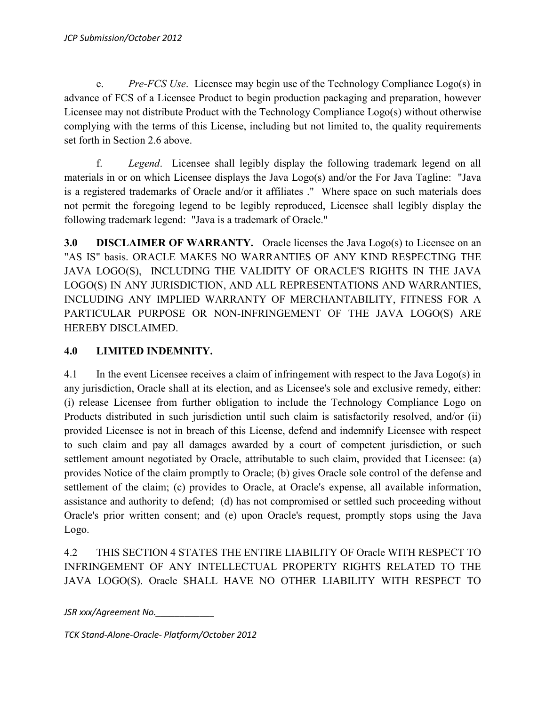e. *Pre-FCS Use*. Licensee may begin use of the Technology Compliance Logo(s) in advance of FCS of a Licensee Product to begin production packaging and preparation, however Licensee may not distribute Product with the Technology Compliance Logo(s) without otherwise complying with the terms of this License, including but not limited to, the quality requirements set forth in Section 2.6 above.

f. *Legend*. Licensee shall legibly display the following trademark legend on all materials in or on which Licensee displays the Java Logo(s) and/or the For Java Tagline: "Java is a registered trademarks of Oracle and/or it affiliates ." Where space on such materials does not permit the foregoing legend to be legibly reproduced, Licensee shall legibly display the following trademark legend: "Java is a trademark of Oracle."

**3.0 DISCLAIMER OF WARRANTY.** Oracle licenses the Java Logo(s) to Licensee on an "AS IS" basis. ORACLE MAKES NO WARRANTIES OF ANY KIND RESPECTING THE JAVA LOGO(S), INCLUDING THE VALIDITY OF ORACLE'S RIGHTS IN THE JAVA LOGO(S) IN ANY JURISDICTION, AND ALL REPRESENTATIONS AND WARRANTIES, INCLUDING ANY IMPLIED WARRANTY OF MERCHANTABILITY, FITNESS FOR A PARTICULAR PURPOSE OR NON-INFRINGEMENT OF THE JAVA LOGO(S) ARE HEREBY DISCLAIMED.

## **4.0 LIMITED INDEMNITY.**

4.1 In the event Licensee receives a claim of infringement with respect to the Java Logo(s) in any jurisdiction, Oracle shall at its election, and as Licensee's sole and exclusive remedy, either: (i) release Licensee from further obligation to include the Technology Compliance Logo on Products distributed in such jurisdiction until such claim is satisfactorily resolved, and/or (ii) provided Licensee is not in breach of this License, defend and indemnify Licensee with respect to such claim and pay all damages awarded by a court of competent jurisdiction, or such settlement amount negotiated by Oracle, attributable to such claim, provided that Licensee: (a) provides Notice of the claim promptly to Oracle; (b) gives Oracle sole control of the defense and settlement of the claim; (c) provides to Oracle, at Oracle's expense, all available information, assistance and authority to defend; (d) has not compromised or settled such proceeding without Oracle's prior written consent; and (e) upon Oracle's request, promptly stops using the Java Logo.

4.2 THIS SECTION 4 STATES THE ENTIRE LIABILITY OF Oracle WITH RESPECT TO INFRINGEMENT OF ANY INTELLECTUAL PROPERTY RIGHTS RELATED TO THE JAVA LOGO(S). Oracle SHALL HAVE NO OTHER LIABILITY WITH RESPECT TO

*JSR xxx/Agreement No.\_\_\_\_\_\_\_\_\_\_\_\_*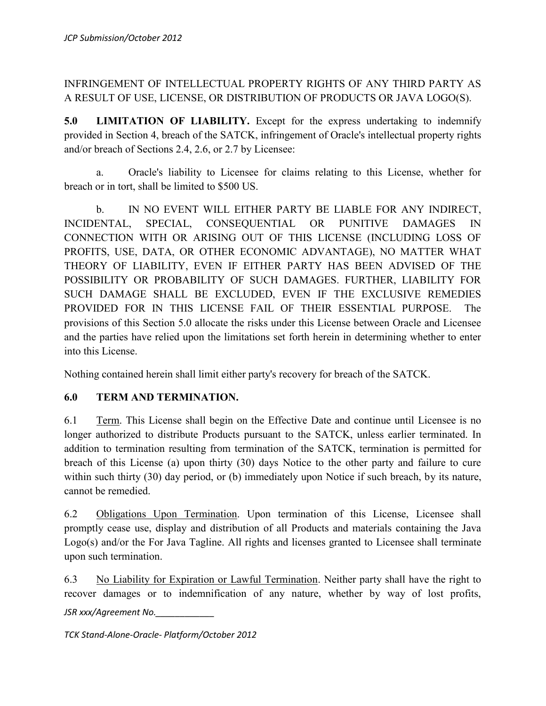# INFRINGEMENT OF INTELLECTUAL PROPERTY RIGHTS OF ANY THIRD PARTY AS A RESULT OF USE, LICENSE, OR DISTRIBUTION OF PRODUCTS OR JAVA LOGO(S).

**5.0 LIMITATION OF LIABILITY.** Except for the express undertaking to indemnify provided in Section 4, breach of the SATCK, infringement of Oracle's intellectual property rights and/or breach of Sections 2.4, 2.6, or 2.7 by Licensee:

a. Oracle's liability to Licensee for claims relating to this License, whether for breach or in tort, shall be limited to \$500 US.

b. IN NO EVENT WILL EITHER PARTY BE LIABLE FOR ANY INDIRECT, INCIDENTAL, SPECIAL, CONSEQUENTIAL OR PUNITIVE DAMAGES IN CONNECTION WITH OR ARISING OUT OF THIS LICENSE (INCLUDING LOSS OF PROFITS, USE, DATA, OR OTHER ECONOMIC ADVANTAGE), NO MATTER WHAT THEORY OF LIABILITY, EVEN IF EITHER PARTY HAS BEEN ADVISED OF THE POSSIBILITY OR PROBABILITY OF SUCH DAMAGES. FURTHER, LIABILITY FOR SUCH DAMAGE SHALL BE EXCLUDED, EVEN IF THE EXCLUSIVE REMEDIES PROVIDED FOR IN THIS LICENSE FAIL OF THEIR ESSENTIAL PURPOSE. The provisions of this Section 5.0 allocate the risks under this License between Oracle and Licensee and the parties have relied upon the limitations set forth herein in determining whether to enter into this License.

Nothing contained herein shall limit either party's recovery for breach of the SATCK.

## **6.0 TERM AND TERMINATION.**

6.1 Term. This License shall begin on the Effective Date and continue until Licensee is no longer authorized to distribute Products pursuant to the SATCK, unless earlier terminated. In addition to termination resulting from termination of the SATCK, termination is permitted for breach of this License (a) upon thirty (30) days Notice to the other party and failure to cure within such thirty (30) day period, or (b) immediately upon Notice if such breach, by its nature, cannot be remedied.

6.2 Obligations Upon Termination. Upon termination of this License, Licensee shall promptly cease use, display and distribution of all Products and materials containing the Java Logo(s) and/or the For Java Tagline. All rights and licenses granted to Licensee shall terminate upon such termination.

*JSR xxx/Agreement No.\_\_\_\_\_\_\_\_\_\_\_\_* 6.3 No Liability for Expiration or Lawful Termination. Neither party shall have the right to recover damages or to indemnification of any nature, whether by way of lost profits,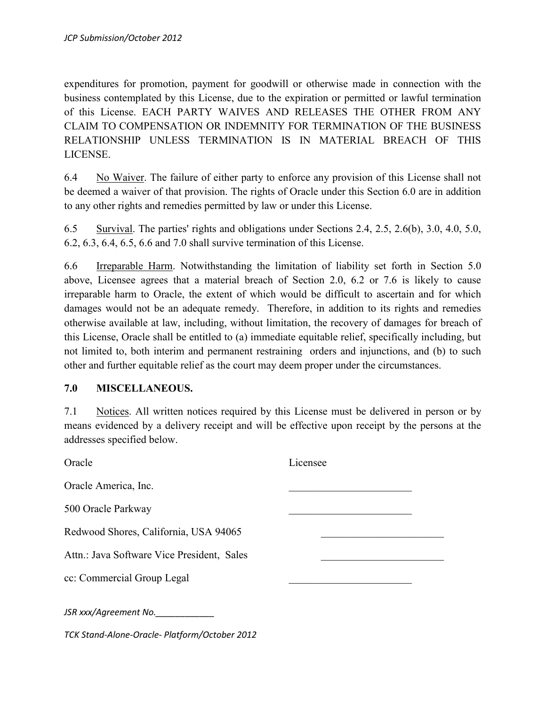expenditures for promotion, payment for goodwill or otherwise made in connection with the business contemplated by this License, due to the expiration or permitted or lawful termination of this License. EACH PARTY WAIVES AND RELEASES THE OTHER FROM ANY CLAIM TO COMPENSATION OR INDEMNITY FOR TERMINATION OF THE BUSINESS RELATIONSHIP UNLESS TERMINATION IS IN MATERIAL BREACH OF THIS LICENSE.

6.4 No Waiver. The failure of either party to enforce any provision of this License shall not be deemed a waiver of that provision. The rights of Oracle under this Section 6.0 are in addition to any other rights and remedies permitted by law or under this License.

6.5 Survival. The parties' rights and obligations under Sections 2.4, 2.5, 2.6(b), 3.0, 4.0, 5.0, 6.2, 6.3, 6.4, 6.5, 6.6 and 7.0 shall survive termination of this License.

6.6 Irreparable Harm. Notwithstanding the limitation of liability set forth in Section 5.0 above, Licensee agrees that a material breach of Section 2.0, 6.2 or 7.6 is likely to cause irreparable harm to Oracle, the extent of which would be difficult to ascertain and for which damages would not be an adequate remedy. Therefore, in addition to its rights and remedies otherwise available at law, including, without limitation, the recovery of damages for breach of this License, Oracle shall be entitled to (a) immediate equitable relief, specifically including, but not limited to, both interim and permanent restraining orders and injunctions, and (b) to such other and further equitable relief as the court may deem proper under the circumstances.

#### **7.0 MISCELLANEOUS.**

7.1 Notices. All written notices required by this License must be delivered in person or by means evidenced by a delivery receipt and will be effective upon receipt by the persons at the addresses specified below.

| Oracle                                        | Licensee |
|-----------------------------------------------|----------|
| Oracle America, Inc.                          |          |
| 500 Oracle Parkway                            |          |
| Redwood Shores, California, USA 94065         |          |
| Attn.: Java Software Vice President, Sales    |          |
| cc: Commercial Group Legal                    |          |
| JSR xxx/Agreement No.                         |          |
| TCK Stand-Alone-Oracle- Platform/October 2012 |          |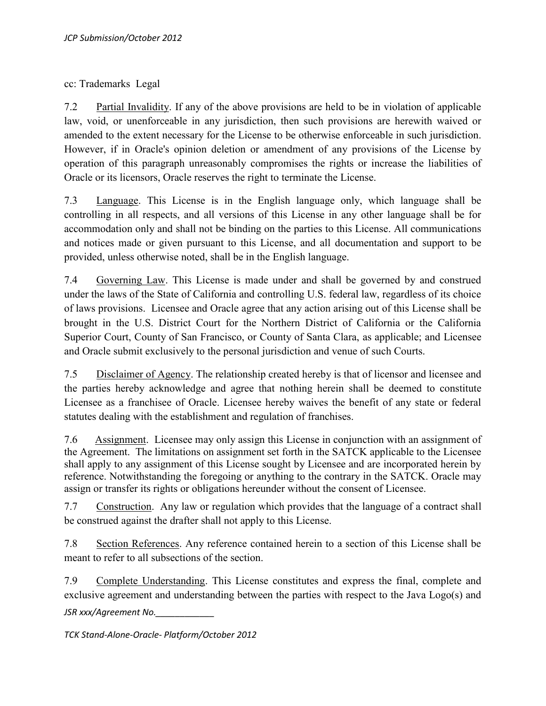cc: Trademarks Legal

7.2 Partial Invalidity. If any of the above provisions are held to be in violation of applicable law, void, or unenforceable in any jurisdiction, then such provisions are herewith waived or amended to the extent necessary for the License to be otherwise enforceable in such jurisdiction. However, if in Oracle's opinion deletion or amendment of any provisions of the License by operation of this paragraph unreasonably compromises the rights or increase the liabilities of Oracle or its licensors, Oracle reserves the right to terminate the License.

7.3 Language. This License is in the English language only, which language shall be controlling in all respects, and all versions of this License in any other language shall be for accommodation only and shall not be binding on the parties to this License. All communications and notices made or given pursuant to this License, and all documentation and support to be provided, unless otherwise noted, shall be in the English language.

7.4 Governing Law. This License is made under and shall be governed by and construed under the laws of the State of California and controlling U.S. federal law, regardless of its choice of laws provisions. Licensee and Oracle agree that any action arising out of this License shall be brought in the U.S. District Court for the Northern District of California or the California Superior Court, County of San Francisco, or County of Santa Clara, as applicable; and Licensee and Oracle submit exclusively to the personal jurisdiction and venue of such Courts.

7.5 Disclaimer of Agency. The relationship created hereby is that of licensor and licensee and the parties hereby acknowledge and agree that nothing herein shall be deemed to constitute Licensee as a franchisee of Oracle. Licensee hereby waives the benefit of any state or federal statutes dealing with the establishment and regulation of franchises.

7.6 Assignment. Licensee may only assign this License in conjunction with an assignment of the Agreement. The limitations on assignment set forth in the SATCK applicable to the Licensee shall apply to any assignment of this License sought by Licensee and are incorporated herein by reference. Notwithstanding the foregoing or anything to the contrary in the SATCK. Oracle may assign or transfer its rights or obligations hereunder without the consent of Licensee.

7.7 Construction. Any law or regulation which provides that the language of a contract shall be construed against the drafter shall not apply to this License.

7.8 Section References. Any reference contained herein to a section of this License shall be meant to refer to all subsections of the section.

*JSR xxx/Agreement No.\_\_\_\_\_\_\_\_\_\_\_\_* 7.9 Complete Understanding. This License constitutes and express the final, complete and exclusive agreement and understanding between the parties with respect to the Java Logo(s) and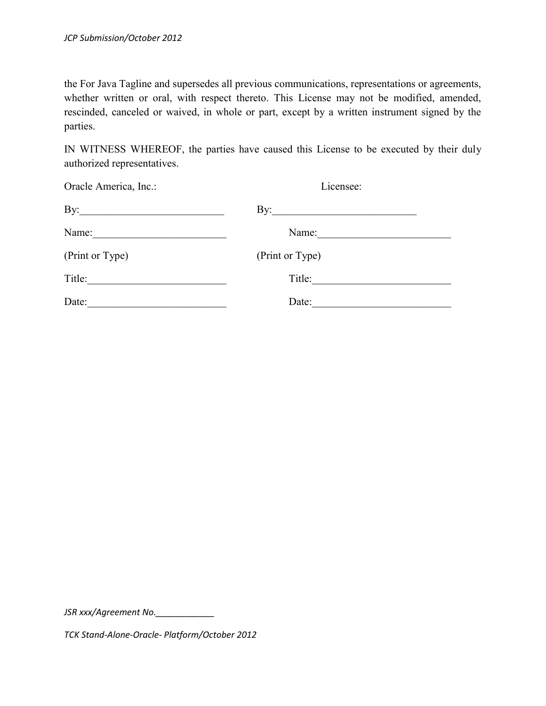the For Java Tagline and supersedes all previous communications, representations or agreements, whether written or oral, with respect thereto. This License may not be modified, amended, rescinded, canceled or waived, in whole or part, except by a written instrument signed by the parties.

IN WITNESS WHEREOF, the parties have caused this License to be executed by their duly authorized representatives.

| Oracle America, Inc.: | Licensee:           |  |
|-----------------------|---------------------|--|
|                       | By: $\qquad \qquad$ |  |
| Name:                 | Name:               |  |
| (Print or Type)       | (Print or Type)     |  |
| Title:                | Title:              |  |
| Date:                 | Date:               |  |

*JSR xxx/Agreement No.\_\_\_\_\_\_\_\_\_\_\_\_*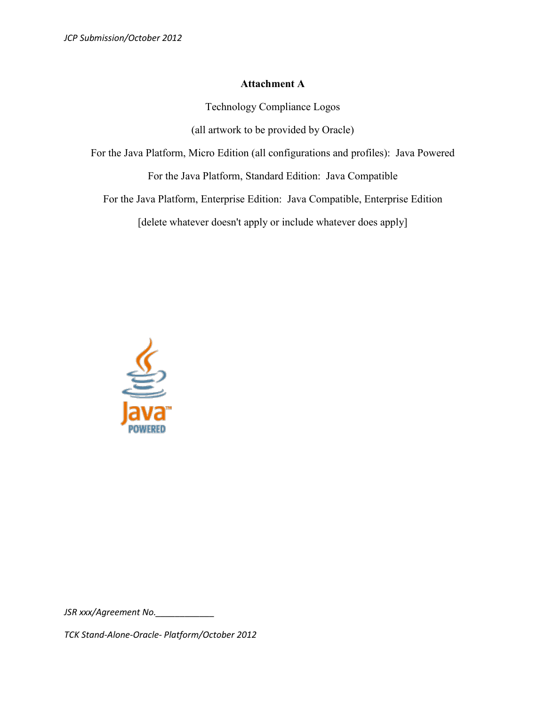#### **Attachment A**

Technology Compliance Logos

(all artwork to be provided by Oracle)

For the Java Platform, Micro Edition (all configurations and profiles): Java Powered

For the Java Platform, Standard Edition: Java Compatible

For the Java Platform, Enterprise Edition: Java Compatible, Enterprise Edition

[delete whatever doesn't apply or include whatever does apply]



*JSR xxx/Agreement No.\_\_\_\_\_\_\_\_\_\_\_\_*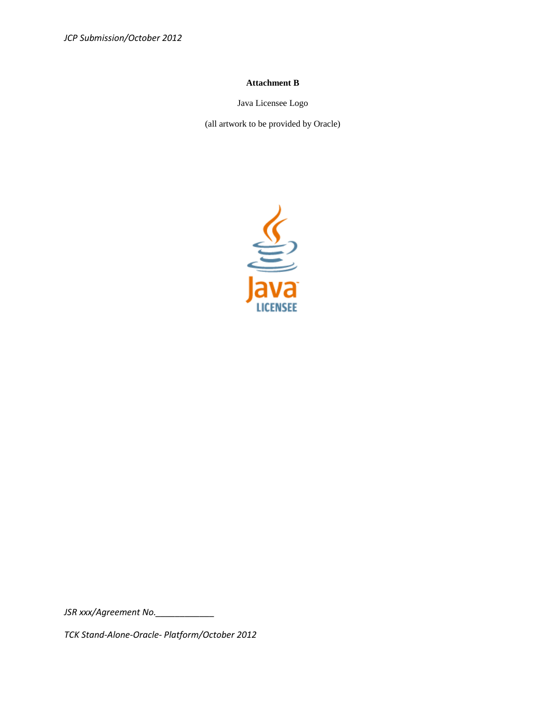*JCP Submission/October 2012*

#### **Attachment B**

Java Licensee Logo

(all artwork to be provided by Oracle)



*JSR xxx/Agreement No.\_\_\_\_\_\_\_\_\_\_\_\_*